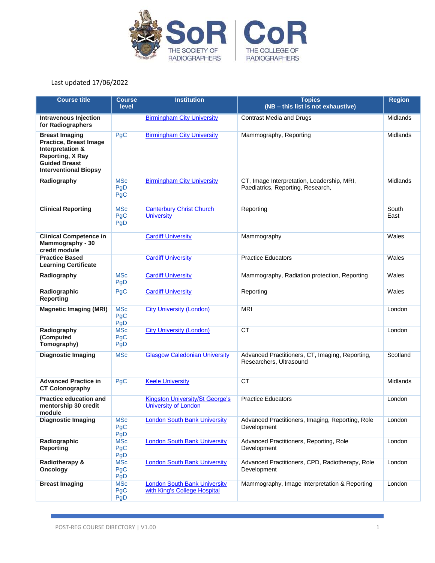

| <b>Course title</b>                                                                                                                                    | <b>Course</b><br>level          | <b>Institution</b>                                                    | <b>Topics</b><br>(NB - this list is not exhaustive)                             | <b>Region</b> |
|--------------------------------------------------------------------------------------------------------------------------------------------------------|---------------------------------|-----------------------------------------------------------------------|---------------------------------------------------------------------------------|---------------|
| <b>Intravenous Injection</b><br>for Radiographers                                                                                                      |                                 | <b>Birmingham City University</b>                                     | <b>Contrast Media and Drugs</b>                                                 | Midlands      |
| <b>Breast Imaging</b><br><b>Practice, Breast Image</b><br>Interpretation &<br>Reporting, X Ray<br><b>Guided Breast</b><br><b>Interventional Biopsy</b> | <b>PgC</b>                      | <b>Birmingham City University</b>                                     | Mammography, Reporting                                                          | Midlands      |
| Radiography                                                                                                                                            | <b>MSc</b><br>PgD<br>PgC        | <b>Birmingham City University</b>                                     | CT, Image Interpretation, Leadership, MRI,<br>Paediatrics, Reporting, Research, | Midlands      |
| <b>Clinical Reporting</b>                                                                                                                              | <b>MSc</b><br>PgC<br>PgD        | <b>Canterbury Christ Church</b><br><b>University</b>                  | Reporting                                                                       | South<br>East |
| <b>Clinical Competence in</b><br>Mammography - 30<br>credit module                                                                                     |                                 | <b>Cardiff University</b>                                             | Mammography                                                                     | Wales         |
| <b>Practice Based</b><br><b>Learning Certificate</b>                                                                                                   |                                 | <b>Cardiff University</b>                                             | <b>Practice Educators</b>                                                       | Wales         |
| Radiography                                                                                                                                            | <b>MSc</b><br>PgD               | <b>Cardiff University</b>                                             | Mammography, Radiation protection, Reporting                                    | Wales         |
| Radiographic<br><b>Reporting</b>                                                                                                                       | PgC                             | <b>Cardiff University</b>                                             | Reporting                                                                       | Wales         |
| <b>Magnetic Imaging (MRI)</b>                                                                                                                          | <b>MSc</b><br>PgC<br>PgD        | <b>City University (London)</b>                                       | <b>MRI</b>                                                                      | London        |
| Radiography<br>(Computed<br>Tomography)                                                                                                                | <b>MSc</b><br>PgC<br>PgD        | <b>City University (London)</b>                                       | <b>CT</b>                                                                       | London        |
| <b>Diagnostic Imaging</b>                                                                                                                              | <b>MSc</b>                      | <b>Glasgow Caledonian University</b>                                  | Advanced Practitioners, CT, Imaging, Reporting,<br>Researchers, Ultrasound      | Scotland      |
| <b>Advanced Practice in</b><br><b>CT Colonography</b>                                                                                                  | PgC                             | <b>Keele University</b>                                               | <b>CT</b>                                                                       | Midlands      |
| <b>Practice education and</b><br>mentorship 30 credit<br>module                                                                                        |                                 | <b>Kingston University/St George's</b><br><b>University of London</b> | <b>Practice Educators</b>                                                       | London        |
| <b>Diagnostic Imaging</b>                                                                                                                              | <b>MSc</b><br>PgC<br>PgD        | <b>London South Bank University</b>                                   | Advanced Practitioners, Imaging, Reporting, Role<br>Development                 | London        |
| Radiographic<br><b>Reporting</b>                                                                                                                       | <b>MSc</b><br>PgC<br>PgD        | <b>London South Bank University</b>                                   | Advanced Practitioners, Reporting, Role<br>Development                          | London        |
| Radiotherapy &<br>Oncology                                                                                                                             | <b>MSc</b><br>PgC<br>PgD        | <b>London South Bank University</b>                                   | Advanced Practitioners, CPD, Radiotherapy, Role<br>Development                  | London        |
| <b>Breast Imaging</b>                                                                                                                                  | <b>MSc</b><br>PgC<br><b>PgD</b> | <b>London South Bank University</b><br>with King's College Hospital   | Mammography, Image Interpretation & Reporting                                   | London        |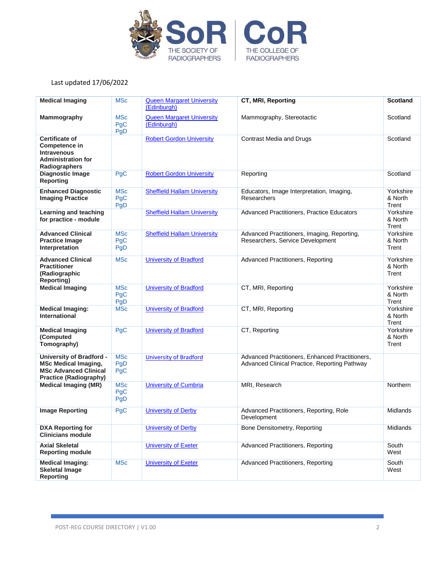

| <b>Medical Imaging</b>                                                                                                          | <b>MSc</b>                      | <b>Queen Margaret University</b><br>(Edinburgh) | CT, MRI, Reporting                                                                               | <b>Scotland</b>               |
|---------------------------------------------------------------------------------------------------------------------------------|---------------------------------|-------------------------------------------------|--------------------------------------------------------------------------------------------------|-------------------------------|
| Mammography                                                                                                                     | <b>MSc</b><br>PgC<br>PgD        | <b>Queen Margaret University</b><br>(Edinburgh) | Mammography, Stereotactic                                                                        | Scotland                      |
| <b>Certificate of</b><br>Competence in<br><b>Intravenous</b><br><b>Administration for</b><br>Radiographers                      |                                 | <b>Robert Gordon University</b>                 | <b>Contrast Media and Drugs</b>                                                                  | Scotland                      |
| <b>Diagnostic Image</b><br><b>Reporting</b>                                                                                     | PgC                             | <b>Robert Gordon University</b>                 | Reporting                                                                                        | Scotland                      |
| <b>Enhanced Diagnostic</b><br><b>Imaging Practice</b>                                                                           | <b>MSc</b><br>PgC<br>PgD        | <b>Sheffield Hallam University</b>              | Educators, Image Interpretation, Imaging,<br>Researchers                                         | Yorkshire<br>& North<br>Trent |
| Learning and teaching<br>for practice - module                                                                                  |                                 | <b>Sheffield Hallam University</b>              | Advanced Practitioners, Practice Educators                                                       | Yorkshire<br>& North<br>Trent |
| <b>Advanced Clinical</b><br><b>Practice Image</b><br>Interpretation                                                             | <b>MSc</b><br>PgC<br><b>PgD</b> | <b>Sheffield Hallam University</b>              | Advanced Practitioners, Imaging, Reporting,<br>Researchers, Service Development                  | Yorkshire<br>& North<br>Trent |
| <b>Advanced Clinical</b><br><b>Practitioner</b><br>(Radiographic<br><b>Reporting)</b>                                           | <b>MSc</b>                      | <b>University of Bradford</b>                   | Advanced Practitioners, Reporting                                                                | Yorkshire<br>& North<br>Trent |
| <b>Medical Imaging</b>                                                                                                          | <b>MSc</b><br>PgC<br>PgD        | <b>University of Bradford</b>                   | CT, MRI, Reporting                                                                               | Yorkshire<br>& North<br>Trent |
| <b>Medical Imaging:</b><br><b>International</b>                                                                                 | <b>MSc</b>                      | <b>University of Bradford</b>                   | CT, MRI, Reporting                                                                               | Yorkshire<br>& North<br>Trent |
| <b>Medical Imaging</b><br>(Computed<br>Tomography)                                                                              | <b>PgC</b>                      | <b>University of Bradford</b>                   | CT, Reporting                                                                                    | Yorkshire<br>& North<br>Trent |
| <b>University of Bradford -</b><br><b>MSc Medical Imaging,</b><br><b>MSc Advanced Clinical</b><br><b>Practice (Radiography)</b> | <b>MSc</b><br>PgD<br>PgC        | <b>University of Bradford</b>                   | Advanced Practitioners, Enhanced Practitioners,<br>Advanced Clinical Practice, Reporting Pathway |                               |
| <b>Medical Imaging (MR)</b>                                                                                                     | <b>MSc</b><br>PgC<br>PgD        | <b>University of Cumbria</b>                    | MRI, Research                                                                                    | Northern                      |
| <b>Image Reporting</b>                                                                                                          | PgC                             | <b>University of Derby</b>                      | Advanced Practitioners, Reporting, Role<br>Development                                           | Midlands                      |
| <b>DXA Reporting for</b><br><b>Clinicians module</b>                                                                            |                                 | <b>University of Derby</b>                      | Bone Densitometry, Reporting                                                                     | Midlands                      |
| <b>Axial Skeletal</b><br><b>Reporting module</b>                                                                                |                                 | <b>University of Exeter</b>                     | Advanced Practitioners, Reporting                                                                | South<br>West                 |
| <b>Medical Imaging:</b><br><b>Skeletal Image</b><br><b>Reporting</b>                                                            | <b>MSc</b>                      | <b>University of Exeter</b>                     | Advanced Practitioners, Reporting                                                                | South<br>West                 |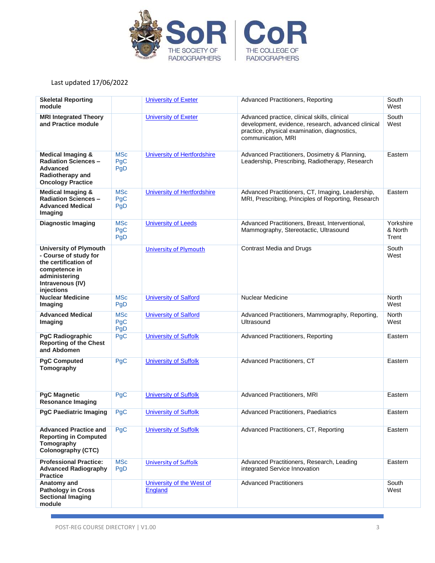

| <b>Skeletal Reporting</b><br>module                                                                                                                |                          | <b>University of Exeter</b>          | Advanced Practitioners, Reporting                                                                                                                                        | South<br>West                 |
|----------------------------------------------------------------------------------------------------------------------------------------------------|--------------------------|--------------------------------------|--------------------------------------------------------------------------------------------------------------------------------------------------------------------------|-------------------------------|
| <b>MRI Integrated Theory</b><br>and Practice module                                                                                                |                          | <b>University of Exeter</b>          | Advanced practice, clinical skills, clinical<br>development, evidence, research, advanced clinical<br>practice, physical examination, diagnostics,<br>communication, MRI | South<br>West                 |
| <b>Medical Imaging &amp;</b><br><b>Radiation Sciences -</b><br><b>Advanced</b><br>Radiotherapy and<br><b>Oncology Practice</b>                     | <b>MSc</b><br>PgC<br>PgD | <b>University of Hertfordshire</b>   | Advanced Practitioners, Dosimetry & Planning,<br>Leadership, Prescribing, Radiotherapy, Research                                                                         | Eastern                       |
| <b>Medical Imaging &amp;</b><br><b>Radiation Sciences -</b><br><b>Advanced Medical</b><br>Imaging                                                  | <b>MSc</b><br>PgC<br>PgD | University of Hertfordshire          | Advanced Practitioners, CT, Imaging, Leadership,<br>MRI, Prescribing, Principles of Reporting, Research                                                                  | Eastern                       |
| <b>Diagnostic Imaging</b>                                                                                                                          | <b>MSc</b><br>PgC<br>PgD | <b>University of Leeds</b>           | Advanced Practitioners, Breast, Interventional,<br>Mammography, Stereotactic, Ultrasound                                                                                 | Yorkshire<br>& North<br>Trent |
| <b>University of Plymouth</b><br>- Course of study for<br>the certification of<br>competence in<br>administering<br>Intravenous (IV)<br>injections |                          | <b>University of Plymouth</b>        | <b>Contrast Media and Drugs</b>                                                                                                                                          | South<br>West                 |
| <b>Nuclear Medicine</b><br>Imaging                                                                                                                 | <b>MSc</b><br>PgD        | <b>University of Salford</b>         | <b>Nuclear Medicine</b>                                                                                                                                                  | <b>North</b><br>West          |
| <b>Advanced Medical</b><br>Imaging                                                                                                                 | <b>MSc</b><br>PgC<br>PgD | <b>University of Salford</b>         | Advanced Practitioners, Mammography, Reporting,<br>Ultrasound                                                                                                            | <b>North</b><br>West          |
| <b>PgC Radiographic</b><br><b>Reporting of the Chest</b><br>and Abdomen                                                                            | PgC                      | <b>University of Suffolk</b>         | Advanced Practitioners, Reporting                                                                                                                                        | Eastern                       |
| <b>PgC Computed</b><br>Tomography                                                                                                                  | <b>PgC</b>               | <b>University of Suffolk</b>         | Advanced Practitioners, CT                                                                                                                                               | Eastern                       |
| <b>PgC Magnetic</b><br><b>Resonance Imaging</b>                                                                                                    | PgC                      | <b>University of Suffolk</b>         | Advanced Practitioners, MRI                                                                                                                                              | Eastern                       |
| <b>PgC Paediatric Imaging</b>                                                                                                                      | PgC                      | <b>University of Suffolk</b>         | Advanced Practitioners, Paediatrics                                                                                                                                      | Eastern                       |
| <b>Advanced Practice and</b><br><b>Reporting in Computed</b><br>Tomography<br><b>Colonography (CTC)</b>                                            | PgC                      | <b>University of Suffolk</b>         | Advanced Practitioners, CT, Reporting                                                                                                                                    | Eastern                       |
| <b>Professional Practice:</b><br><b>Advanced Radiography</b><br><b>Practice</b>                                                                    | <b>MSc</b><br>PgD        | <b>University of Suffolk</b>         | Advanced Practitioners, Research, Leading<br>integrated Service Innovation                                                                                               | Eastern                       |
| Anatomy and<br><b>Pathology in Cross</b><br><b>Sectional Imaging</b><br>module                                                                     |                          | University of the West of<br>England | <b>Advanced Practitioners</b>                                                                                                                                            | South<br>West                 |

ż